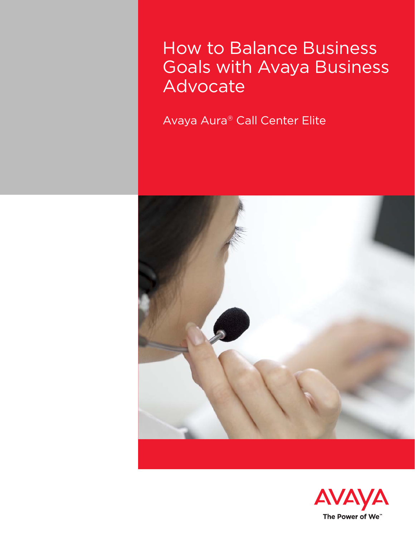How to Balance Business Goals with Avaya Business Advocate

Avaya Aura® Call Center Elite



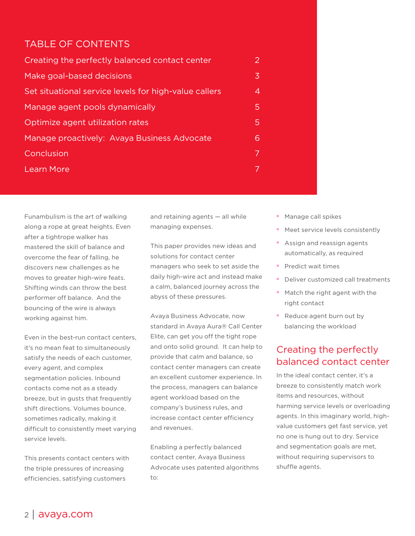## TABLE OF CONTENTS

| Creating the perfectly balanced contact center        | 2 |
|-------------------------------------------------------|---|
| Make goal-based decisions                             | 3 |
| Set situational service levels for high-value callers | 4 |
| Manage agent pools dynamically                        | 5 |
| Optimize agent utilization rates                      | 5 |
| Manage proactively: Avaya Business Advocate           | 6 |
| <b>Conclusion</b>                                     | 7 |
| <b>Learn More</b>                                     |   |

Funambulism is the art of walking along a rope at great heights. Even after a tightrope walker has mastered the skill of balance and overcome the fear of falling, he discovers new challenges as he moves to greater high-wire feats. Shifting winds can throw the best performer off balance. And the bouncing of the wire is always working against him.

Even in the best-run contact centers, it's no mean feat to simultaneously satisfy the needs of each customer, every agent, and complex segmentation policies. Inbound contacts come not as a steady breeze, but in gusts that frequently shift directions. Volumes bounce, sometimes radically, making it difficult to consistently meet varying service levels.

This presents contact centers with the triple pressures of increasing efficiencies, satisfying customers

and retaining agents — all while managing expenses.

This paper provides new ideas and solutions for contact center managers who seek to set aside the daily high-wire act and instead make a calm, balanced journey across the abyss of these pressures.

Avaya Business Advocate, now standard in Avaya Aura® Call Center Elite, can get you off the tight rope and onto solid ground. It can help to provide that calm and balance, so contact center managers can create an excellent customer experience. In the process, managers can balance agent workload based on the company's business rules, and increase contact center efficiency and revenues.

Enabling a perfectly balanced contact center, Avaya Business Advocate uses patented algorithms to:

- ° Manage call spikes
- ° Meet service levels consistently
- ° Assign and reassign agents automatically, as required
- ° Predict wait times
- ° Deliver customized call treatments
- ° Match the right agent with the right contact
- ° Reduce agent burn out by balancing the workload

# Creating the perfectly balanced contact center

In the ideal contact center, it's a breeze to consistently match work items and resources, without harming service levels or overloading agents. In this imaginary world, highvalue customers get fast service, yet no one is hung out to dry. Service and segmentation goals are met, without requiring supervisors to shuffle agents.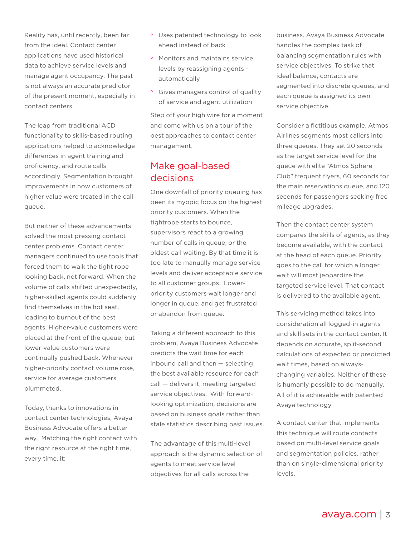<span id="page-2-0"></span>Reality has, until recently, been far from the ideal. Contact center applications have used historical data to achieve service levels and manage agent occupancy. The past is not always an accurate predictor of the present moment, especially in contact centers.

The leap from traditional ACD functionality to skills-based routing applications helped to acknowledge differences in agent training and proficiency, and route calls accordingly. Segmentation brought improvements in how customers of higher value were treated in the call queue.

But neither of these advancements solved the most pressing contact center problems. Contact center managers continued to use tools that forced them to walk the tight rope looking back, not forward. When the volume of calls shifted unexpectedly, higher-skilled agents could suddenly find themselves in the hot seat, leading to burnout of the best agents. Higher-value customers were placed at the front of the queue, but lower-value customers were continually pushed back. Whenever higher-priority contact volume rose, service for average customers plummeted.

Today, thanks to innovations in contact center technologies, Avaya Business Advocate offers a better way. Matching the right contact with the right resource at the right time, every time, it:

- ° Uses patented technology to look ahead instead of back
- ° Monitors and maintains service levels by reassigning agents – automatically
- ° Gives managers control of quality of service and agent utilization

Step off your high wire for a moment and come with us on a tour of the best approaches to contact center management.

## Make goal-based decisions

One downfall of priority queuing has been its myopic focus on the highest priority customers. When the tightrope starts to bounce, supervisors react to a growing number of calls in queue, or the oldest call waiting. By that time it is too late to manually manage service levels and deliver acceptable service to all customer groups. Lowerpriority customers wait longer and longer in queue, and get frustrated or abandon from queue.

Taking a different approach to this problem, Avaya Business Advocate predicts the wait time for each inbound call and then — selecting the best available resource for each call — delivers it, meeting targeted service objectives. With forwardlooking optimization, decisions are based on business goals rather than stale statistics describing past issues.

The advantage of this multi-level approach is the dynamic selection of agents to meet service level objectives for all calls across the

business. Avaya Business Advocate handles the complex task of balancing segmentation rules with service objectives. To strike that ideal balance, contacts are segmented into discrete queues, and each queue is assigned its own service objective.

Consider a fictitious example. Atmos Airlines segments most callers into three queues. They set 20 seconds as the target service level for the queue with elite "Atmos Sphere Club" frequent flyers, 60 seconds for the main reservations queue, and 120 seconds for passengers seeking free mileage upgrades.

Then the contact center system compares the skills of agents, as they become available, with the contact at the head of each queue. Priority goes to the call for which a longer wait will most jeopardize the targeted service level. That contact is delivered to the available agent.

This servicing method takes into consideration all logged-in agents and skill sets in the contact center. It depends on accurate, split-second calculations of expected or predicted wait times, based on alwayschanging variables. Neither of these is humanly possible to do manually. All of it is achievable with patented Avaya technology.

A contact center that implements this technique will route contacts based on multi-level service goals and segmentation policies, rather than on single-dimensional priority levels.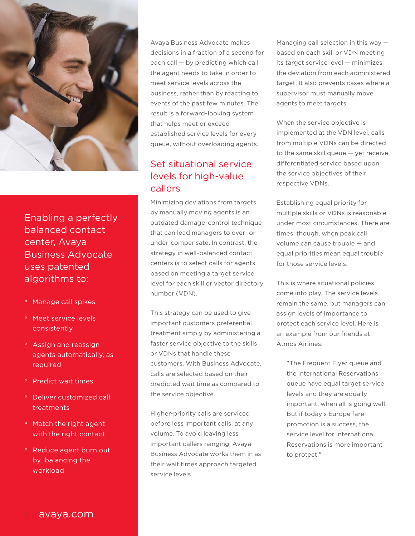<span id="page-3-0"></span>

Enabling a perfectly balanced contact center, Avaya Business Advocate uses patented algorithms to:

- ° Manage call spikes
- ° Meet service levels consistently
- ° Assign and reassign agents automatically, as required
- ° Predict wait times
- ° Deliver customized call treatments
- ° Match the right agent with the right contact
- ° Reduce agent burn out by balancing the workload

Avaya Business Advocate makes decisions in a fraction of a second for each call — by predicting which call the agent needs to take in order to meet service levels across the business, rather than by reacting to events of the past few minutes. The result is a forward-looking system that helps meet or exceed established service levels for every queue, without overloading agents.

## Set situational service levels for high-value callers

Minimizing deviations from targets by manually moving agents is an outdated damage-control technique that can lead managers to over- or under-compensate. In contrast, the strategy in well-balanced contact centers is to select calls for agents based on meeting a target service level for each skill or vector directory number (VDN).

This strategy can be used to give important customers preferential treatment simply by administering a faster service objective to the skills or VDNs that handle these customers. With Business Advocate, calls are selected based on their predicted wait time as compared to the service objective.

Higher-priority calls are serviced before less important calls, at any volume. To avoid leaving less important callers hanging, Avaya Business Advocate works them in as their wait times approach targeted service levels.

Managing call selection in this way based on each skill or VDN meeting its target service level — minimizes the deviation from each administered target. It also prevents cases where a supervisor must manually move agents to meet targets.

When the service objective is implemented at the VDN level, calls from multiple VDNs can be directed to the same skill queue — yet receive differentiated service based upon the service objectives of their respective VDNs.

Establishing equal priority for multiple skills or VDNs is reasonable under most circumstances. There are times, though, when peak call volume can cause trouble — and equal priorities mean equal trouble for those service levels.

This is where situational policies come into play. The service levels remain the same, but managers can assign levels of importance to protect each service level. Here is an example from our friends at Atmos Airlines:

"The Frequent Flyer queue and the International Reservations queue have equal target service levels and they are equally important, when all is going well. But if today's Europe fare promotion is a success, the service level for International Reservations is more important to protect."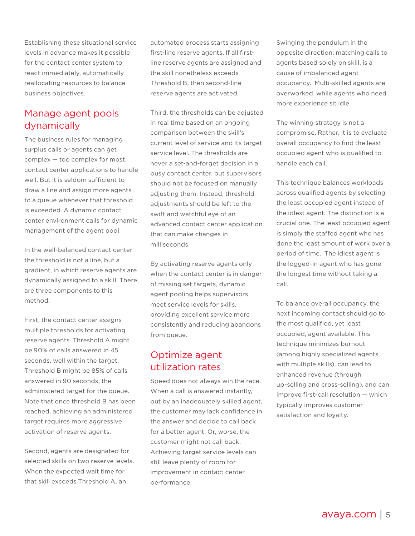<span id="page-4-0"></span>Establishing these situational service levels in advance makes it possible for the contact center system to react immediately, automatically reallocating resources to balance business objectives.

# Manage agent pools dynamically

The business rules for managing surplus calls or agents can get complex — too complex for most contact center applications to handle well. But it is seldom sufficient to draw a line and assign more agents to a queue whenever that threshold is exceeded. A dynamic contact center environment calls for dynamic management of the agent pool.

In the well-balanced contact center the threshold is not a line, but a gradient, in which reserve agents are dynamically assigned to a skill. There are three components to this method.

First, the contact center assigns multiple thresholds for activating reserve agents. Threshold A might be 90% of calls answered in 45 seconds, well within the target. Threshold B might be 85% of calls answered in 90 seconds, the administered target for the queue. Note that once threshold B has been reached, achieving an administered target requires more aggressive activation of reserve agents.

Second, agents are designated for selected skills on two reserve levels. When the expected wait time for that skill exceeds Threshold A, an

automated process starts assigning first-line reserve agents. If all firstline reserve agents are assigned and the skill nonetheless exceeds Threshold B, then second-line reserve agents are activated.

Third, the thresholds can be adjusted in real time based on an ongoing comparison between the skill's current level of service and its target service level. The thresholds are never a set-and-forget decision in a busy contact center, but supervisors should not be focused on manually adjusting them. Instead, threshold adjustments should be left to the swift and watchful eye of an advanced contact center application that can make changes in milliseconds.

By activating reserve agents only when the contact center is in danger of missing set targets, dynamic agent pooling helps supervisors meet service levels for skills, providing excellent service more consistently and reducing abandons from queue.

# Optimize agent utilization rates

Speed does not always win the race. When a call is answered instantly, but by an inadequately skilled agent, the customer may lack confidence in the answer and decide to call back for a better agent. Or, worse, the customer might not call back. Achieving target service levels can still leave plenty of room for improvement in contact center performance.

Swinging the pendulum in the opposite direction, matching calls to agents based solely on skill, is a cause of imbalanced agent occupancy. Multi-skilled agents are overworked, while agents who need more experience sit idle.

The winning strategy is not a compromise. Rather, it is to evaluate overall occupancy to find the least occupied agent who is qualified to handle each call.

This technique balances workloads across qualified agents by selecting the least occupied agent instead of the idlest agent. The distinction is a crucial one. The least occupied agent is simply the staffed agent who has done the least amount of work over a period of time. The idlest agent is the logged-in agent who has gone the longest time without taking a call.

To balance overall occupancy, the next incoming contact should go to the most qualified, yet least occupied, agent available. This technique minimizes burnout (among highly specialized agents with multiple skills), can lead to enhanced revenue (through up-selling and cross-selling), and can improve first-call resolution — which typically improves customer satisfaction and loyalty.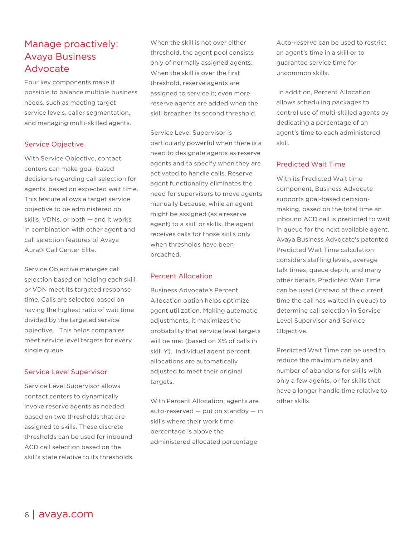# <span id="page-5-0"></span>Manage proactively: Avaya Business Advocate

Four key components make it possible to balance multiple business needs, such as meeting target service levels, caller segmentation, and managing multi-skilled agents.

#### Service Objective

With Service Objective, contact centers can make goal-based decisions regarding call selection for agents, based on expected wait time. This feature allows a target service objective to be administered on skills, VDNs, or both — and it works in combination with other agent and call selection features of Avaya Aura® Call Center Elite.

Service Objective manages call selection based on helping each skill or VDN meet its targeted response time. Calls are selected based on having the highest ratio of wait time divided by the targeted service objective. This helps companies meet service level targets for every single queue.

#### Service Level Supervisor

Service Level Supervisor allows contact centers to dynamically invoke reserve agents as needed, based on two thresholds that are assigned to skills. These discrete thresholds can be used for inbound ACD call selection based on the skill's state relative to its thresholds. When the skill is not over either threshold, the agent pool consists only of normally assigned agents. When the skill is over the first threshold, reserve agents are assigned to service it; even more reserve agents are added when the skill breaches its second threshold.

Service Level Supervisor is particularly powerful when there is a need to designate agents as reserve agents and to specify when they are activated to handle calls. Reserve agent functionality eliminates the need for supervisors to move agents manually because, while an agent might be assigned (as a reserve agent) to a skill or skills, the agent receives calls for those skills only when thresholds have been breached.

#### Percent Allocation

Business Advocate's Percent Allocation option helps optimize agent utilization. Making automatic adjustments, it maximizes the probability that service level targets will be met (based on X% of calls in skill Y). Individual agent percent allocations are automatically adjusted to meet their original targets.

With Percent Allocation, agents are auto-reserved — put on standby — in skills where their work time percentage is above the administered allocated percentage

Auto-reserve can be used to restrict an agent's time in a skill or to guarantee service time for uncommon skills.

 In addition, Percent Allocation allows scheduling packages to control use of multi-skilled agents by dedicating a percentage of an agent's time to each administered skill.

#### Predicted Wait Time

With its Predicted Wait time component, Business Advocate supports goal-based decisionmaking, based on the total time an inbound ACD call is predicted to wait in queue for the next available agent. Avaya Business Advocate's patented Predicted Wait Time calculation considers staffing levels, average talk times, queue depth, and many other details. Predicted Wait Time can be used (instead of the current time the call has waited in queue) to determine call selection in Service Level Supervisor and Service Objective.

Predicted Wait Time can be used to reduce the maximum delay and number of abandons for skills with only a few agents, or for skills that have a longer handle time relative to other skills.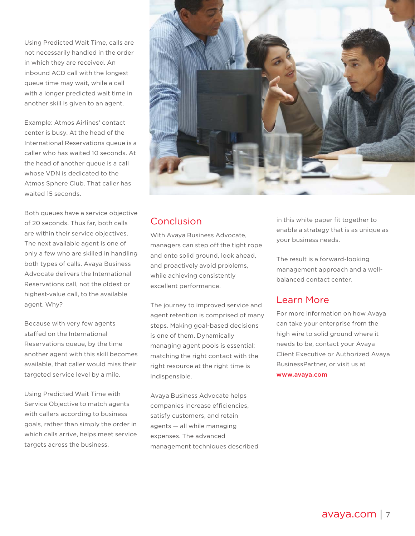<span id="page-6-0"></span>Using Predicted Wait Time, calls are not necessarily handled in the order in which they are received. An inbound ACD call with the longest queue time may wait, while a call with a longer predicted wait time in another skill is given to an agent.

Example: Atmos Airlines' contact center is busy. At the head of the International Reservations queue is a caller who has waited 10 seconds. At the head of another queue is a call whose VDN is dedicated to the Atmos Sphere Club. That caller has waited 15 seconds.

Both queues have a service objective of 20 seconds. Thus far, both calls are within their service objectives. The next available agent is one of only a few who are skilled in handling both types of calls. Avaya Business Advocate delivers the International Reservations call, not the oldest or highest-value call, to the available agent. Why?

Because with very few agents staffed on the International Reservations queue, by the time another agent with this skill becomes available, that caller would miss their targeted service level by a mile.

Using Predicted Wait Time with Service Objective to match agents with callers according to business goals, rather than simply the order in which calls arrive, helps meet service targets across the business.



### Conclusion

With Avaya Business Advocate, managers can step off the tight rope and onto solid ground, look ahead, and proactively avoid problems, while achieving consistently excellent performance.

The journey to improved service and agent retention is comprised of many steps. Making goal-based decisions is one of them. Dynamically managing agent pools is essential; matching the right contact with the right resource at the right time is indispensible.

Avaya Business Advocate helps companies increase efficiencies, satisfy customers, and retain agents — all while managing expenses. The advanced management techniques described in this white paper fit together to enable a strategy that is as unique as your business needs.

The result is a forward-looking management approach and a wellbalanced contact center.

### Learn More

For more information on how Avaya can take your enterprise from the high wire to solid ground where it needs to be, contact your Avaya Client Executive or Authorized Avaya BusinessPartner, or visit us at www.avaya.com